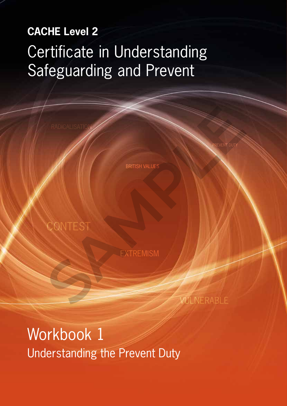# **CACHE Level 2**  Certificate in Understanding Safeguarding and Prevent

BRITISH VALUES

**CONTEST** 

**EXTREMISM** 

VULNERABLE RADICALISATION **SRITISH VALUES**<br>CONTEST<br>CONTEST EXTREMISM

PREVENT DUTY

# Workbook 1 Understanding the Prevent Duty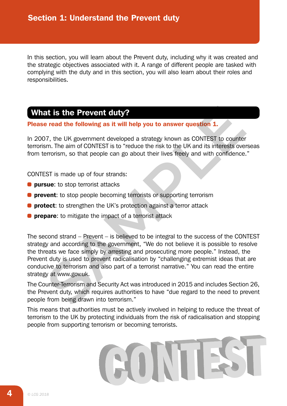In this section, you will learn about the Prevent duty, including why it was created and the strategic objectives associated with it. A range of different people are tasked with complying with the duty and in this section, you will also learn about their roles and responsibilities.

### What is the Prevent duty?

#### Please read the following as it will help you to answer question 1.

In 2007, the UK government developed a strategy known as CONTEST to counter terrorism. The aim of CONTEST is to "reduce the risk to the UK and its interests overseas from terrorism, so that people can go about their lives freely and with confidence."

CONTEST is made up of four strands:

- **pursue:** to stop terrorist attacks
- **prevent:** to stop people becoming terrorists or supporting terrorism
- **protect:** to strengthen the UK's protection against a terror attack
- **prepare:** to mitigate the impact of a terrorist attack

The second strand – Prevent – is believed to be integral to the success of the CONTEST strategy and according to the government, "We do not believe it is possible to resolve the threats we face simply by arresting and prosecuting more people." Instead, the Prevent duty is used to prevent radicalisation by "challenging extremist ideas that are conducive to terrorism and also part of a terrorist narrative." You can read the entire strategy at www.gov.uk. **Statically and Statically Consider the CONTEST is to the CONTEST is to the Following as it will help you to answer question 1.**<br>The UK government developed a strategy known as CONTEST to counterm. The aim of CONTEST is to

The Counter-Terrorism and Security Act was introduced in 2015 and includes Section 26, the Prevent duty, which requires authorities to have "due regard to the need to prevent people from being drawn into terrorism."

This means that authorities must be actively involved in helping to reduce the threat of terrorism to the UK by protecting individuals from the risk of radicalisation and stopping people from supporting terrorism or becoming terrorists.

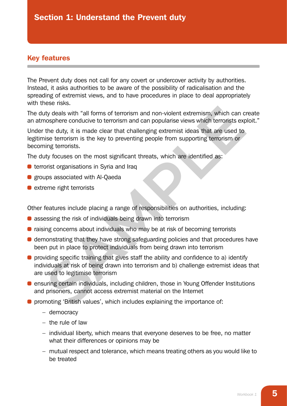### Key features

The Prevent duty does not call for any covert or undercover activity by authorities. Instead, it asks authorities to be aware of the possibility of radicalisation and the spreading of extremist views, and to have procedures in place to deal appropriately with these risks.

The duty deals with "all forms of terrorism and non-violent extremism, which can create an atmosphere conducive to terrorism and can popularise views which terrorists exploit."

Under the duty, it is made clear that challenging extremist ideas that are used to legitimise terrorism is the key to preventing people from supporting terrorism or becoming terrorists.

The duty focuses on the most significant threats, which are identified as:

- **•** terrorist organisations in Syria and Iraq
- **•** groups associated with Al-Qaeda
- $\bullet$  extreme right terrorists

Other features include placing a range of responsibilities on authorities, including:

- **•** assessing the risk of individuals being drawn into terrorism
- raising concerns about individuals who may be at risk of becoming terrorists
- **•** demonstrating that they have strong safeguarding policies and that procedures have been put in place to protect individuals from being drawn into terrorism
- providing specific training that gives staff the ability and confidence to a) identify individuals at risk of being drawn into terrorism and b) challenge extremist ideas that are used to legitimise terrorism Ity deals with "all forms of terrorism and non-violent extremism, which can coosphere conducive to terrorism and can popularise views which terrorists exp<br>the duty, it is made clear that challenging extremist ideas that ar
- **•** ensuring certain individuals, including children, those in Young Offender Institutions and prisoners, cannot access extremist material on the Internet

**•** promoting 'British values', which includes explaining the importance of:

- democracy
- the rule of law
- individual liberty, which means that everyone deserves to be free, no matter what their differences or opinions may be
- mutual respect and tolerance, which means treating others as you would like to be treated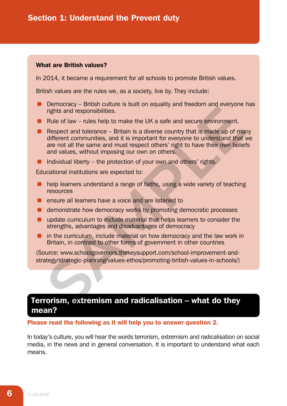#### What are British values?

In 2014, it became a requirement for all schools to promote British values.

British values are the rules we, as a society, live by. They include:

- Democracy British culture is built on equality and freedom and everyone has rights and responsibilities.
- Rule of law rules help to make the UK a safe and secure environment.
- $\bullet$  Respect and tolerance Britain is a diverse country that is made up of many different communities, and it is important for everyone to understand that we are not all the same and must respect others' right to have their own beliefs and values, without imposing our own on others. between the multiple in the two states and the state of the states of the states of the states of the states and testoric reports are not all the same and must respect others are not all the same and must respect others if
- Individual liberty the protection of your own and others' rights.

Educational institutions are expected to:

- help learners understand a range of faiths, using a wide variety of teaching resources
- **•** ensure all learners have a voice and are listened to
- **•** demonstrate how democracy works by promoting democratic processes
- **•** update curriculum to include material that helps learners to consider the strengths, advantages and disadvantages of democracy
- **•** in the curriculum, include material on how democracy and the law work in Britain, in contrast to other forms of government in other countries

(Source: www.schoolgovernors.thekeysupport.com/school-improvement-andstrategy/strategic-planning/values-ethos/promoting-british-values-in-schools/)

### Terrorism, extremism and radicalisation – what do they mean?

Please read the following as it will help you to answer question 2.

In today's culture, you will hear the words terrorism, extremism and radicalisation on social media, in the news and in general conversation. It is important to understand what each means.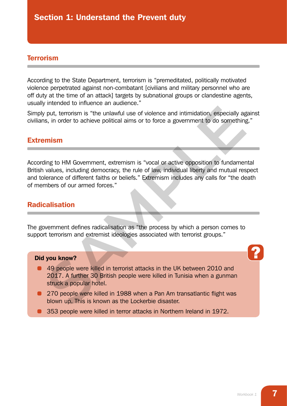### **Terrorism**

According to the State Department, terrorism is "premeditated, politically motivated violence perpetrated against non-combatant [civilians and military personnel who are off duty at the time of an attack] targets by subnational groups or clandestine agents, usually intended to influence an audience."

Simply put, terrorism is "the unlawful use of violence and intimidation, especially against civilians, in order to achieve political aims or to force a government to do something."

### Extremism

According to HM Government, extremism is "vocal or active opposition to fundamental British values, including democracy, the rule of law, individual liberty and mutual respect and tolerance of different faiths or beliefs." Extremism includes any calls for "the death of members of our armed forces." put, terrorism is "the unlawful use of violence and intimidation, especially ages, in order to achieve political aims or to force a government to do something<br> **mism**<br> **SAMPLE TO HAM** Government, extremism is "vocal or act

### Radicalisation

The government defines radicalisation as "the process by which a person comes to support terrorism and extremist ideologies associated with terrorist groups."

#### Did you know?

- 49 people were killed in terrorist attacks in the UK between 2010 and 2017. A further 30 British people were killed in Tunisia when a gunman struck a popular hotel.
- 270 people were killed in 1988 when a Pan Am transatlantic flight was blown up. This is known as the Lockerbie disaster.
- 353 people were killed in terror attacks in Northern Ireland in 1972.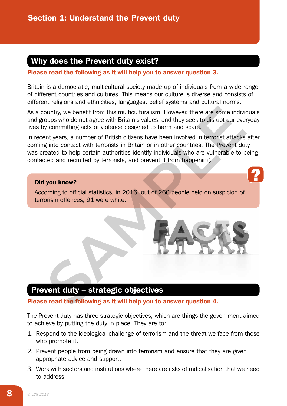## Why does the Prevent duty exist?

### Please read the following as it will help you to answer question 3.

Britain is a democratic, multicultural society made up of individuals from a wide range of different countries and cultures. This means our culture is diverse and consists of different religions and ethnicities, languages, belief systems and cultural norms.

As a country, we benefit from this multiculturalism. However, there are some individuals and groups who do not agree with Britain's values, and they seek to disrupt our everyday lives by committing acts of violence designed to harm and scare.

In recent years, a number of British citizens have been involved in terrorist attacks after coming into contact with terrorists in Britain or in other countries. The Prevent duty was created to help certain authorities identify individuals who are vulnerable to being contacted and recruited by terrorists, and prevent it from happening. bountry, we benefit from this multiculturalism. However, there are some individuals who do not agree with Britain's values, and they seek to disrupt our every committing acts of violence designed to harm and scare.<br>
It was

### Did you know?

According to official statistics, in 2016, out of 260 people held on suspicion of terrorism offences, 91 were white.

### Prevent duty – strategic objectives

### Please read the following as it will help you to answer question 4.

The Prevent duty has three strategic objectives, which are things the government aimed to achieve by putting the duty in place. They are to:

- 1. Respond to the ideological challenge of terrorism and the threat we face from those who promote it.
- 2. Prevent people from being drawn into terrorism and ensure that they are given appropriate advice and support.
- 3. Work with sectors and institutions where there are risks of radicalisation that we need to address.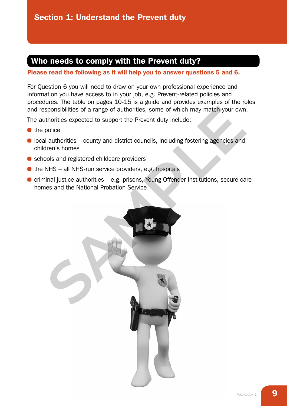### Who needs to comply with the Prevent duty?

### Please read the following as it will help you to answer questions 5 and 6.

For Question 6 you will need to draw on your own professional experience and information you have access to in your job, e.g. Prevent-related policies and procedures. The table on pages 10-15 is a guide and provides examples of the roles and responsibilities of a range of authorities, some of which may match your own.

The authorities expected to support the Prevent duty include:

- $\bullet$  the police
- local authorities county and district councils, including fostering agencies and children's homes
- schools and registered childcare providers
- $\bullet$  the NHS all NHS-run service providers, e.g. hospitals
- criminal justice authorities e.g. prisons, Young Offender Institutions, secure care homes and the National Probation Service